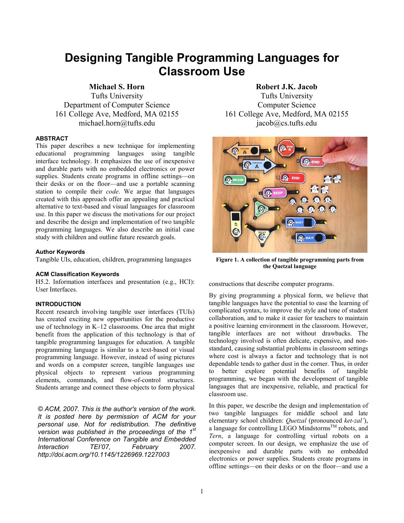# Designing Tangible Programming Languages for Classroom Use

Michael S. Horn

Tufts University Department of Computer Science 161 College Ave, Medford, MA 02155 michael.horn@tufts.edu

## ABSTRACT

This paper describes a new technique for implementing educational programming languages using tangible interface technology. It emphasizes the use of inexpensive and durable parts with no embedded electronics or power supplies. Students create programs in offline settings—on their desks or on the floor—and use a portable scanning station to compile their code. We argue that languages created with this approach offer an appealing and practical alternative to text-based and visual languages for classroom use. In this paper we discuss the motivations for our project and describe the design and implementation of two tangible programming languages. We also describe an initial case study with children and outline future research goals.

#### Author Keywords

Tangible UIs, education, children, programming languages

# ACM Classification Keywords

H5.2. Information interfaces and presentation (e.g., HCI): User Interfaces.

### INTRODUCTION

Recent research involving tangible user interfaces (TUIs) has created exciting new opportunities for the productive use of technology in K–12 classrooms. One area that might benefit from the application of this technology is that of tangible programming languages for education. A tangible programming language is similar to a text-based or visual programming language. However, instead of using pictures and words on a computer screen, tangible languages use physical objects to represent various programming elements, commands, and flow-of-control structures. Students arrange and connect these objects to form physical

© ACM, 2007. This is the author's version of the work. It is posted here by permission of ACM for your personal use. Not for redistribution. The definitive version was published in the proceedings of the  $1<sup>st</sup>$ International Conference on Tangible and Embedded Interaction TEI'07, February 2007. http://doi.acm.org/10.1145/1226969.1227003

# Robert J.K. Jacob

Tufts University Computer Science 161 College Ave, Medford, MA 02155 jacob@cs.tufts.edu



Figure 1. A collection of tangible programming parts from the Quetzal language

constructions that describe computer programs.

By giving programming a physical form, we believe that tangible languages have the potential to ease the learning of complicated syntax, to improve the style and tone of student collaboration, and to make it easier for teachers to maintain a positive learning environment in the classroom. However, tangible interfaces are not without drawbacks. The technology involved is often delicate, expensive, and nonstandard, causing substantial problems in classroom settings where cost is always a factor and technology that is not dependable tends to gather dust in the corner. Thus, in order to better explore potential benefits of tangible programming, we began with the development of tangible languages that are inexpensive, reliable, and practical for classroom use.

In this paper, we describe the design and implementation of two tangible languages for middle school and late elementary school children: Quetzal (pronounced ket-zal'), a language for controlling LEGO Mindstorms<sup>™</sup> robots, and Tern, a language for controlling virtual robots on a computer screen. In our design, we emphasize the use of inexpensive and durable parts with no embedded electronics or power supplies. Students create programs in offline settings—on their desks or on the floor—and use a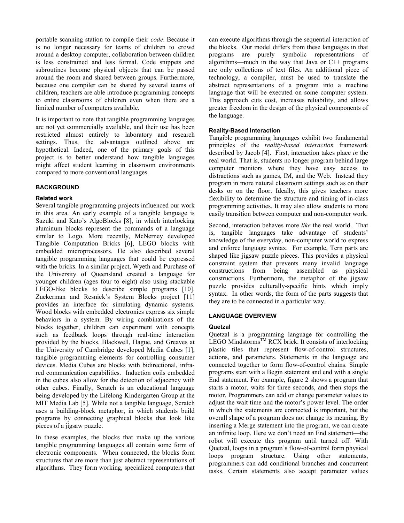portable scanning station to compile their code. Because it is no longer necessary for teams of children to crowd around a desktop computer, collaboration between children is less constrained and less formal. Code snippets and subroutines become physical objects that can be passed around the room and shared between groups. Furthermore, because one compiler can be shared by several teams of children, teachers are able introduce programming concepts to entire classrooms of children even when there are a limited number of computers available.

It is important to note that tangible programming languages are not yet commercially available, and their use has been restricted almost entirely to laboratory and research settings. Thus, the advantages outlined above are hypothetical. Indeed, one of the primary goals of this project is to better understand how tangible languages might affect student learning in classroom environments compared to more conventional languages.

# BACKGROUND

### Related work

Several tangible programming projects influenced our work in this area. An early example of a tangible language is Suzuki and Kato's AlgoBlocks [8], in which interlocking aluminum blocks represent the commands of a language similar to Logo. More recently, McNerney developed Tangible Computation Bricks [6], LEGO blocks with embedded microprocessors. He also described several tangible programming languages that could be expressed with the bricks. In a similar project, Wyeth and Purchase of the University of Queensland created a language for younger children (ages four to eight) also using stackable LEGO-like blocks to describe simple programs [10]. Zuckerman and Resnick's System Blocks project [11] provides an interface for simulating dynamic systems. Wood blocks with embedded electronics express six simple behaviors in a system. By wiring combinations of the blocks together, children can experiment with concepts such as feedback loops through real-time interaction provided by the blocks. Blackwell, Hague, and Greaves at the University of Cambridge developed Media Cubes [1], tangible programming elements for controlling consumer devices. Media Cubes are blocks with bidirectional, infrared communication capabilities. Induction coils embedded in the cubes also allow for the detection of adjacency with other cubes. Finally, Scratch is an educational language being developed by the Lifelong Kindergarten Group at the MIT Media Lab [5]. While not a tangible language, Scratch uses a building-block metaphor, in which students build programs by connecting graphical blocks that look like pieces of a jigsaw puzzle.

In these examples, the blocks that make up the various tangible programming languages all contain some form of electronic components. When connected, the blocks form structures that are more than just abstract representations of algorithms. They form working, specialized computers that can execute algorithms through the sequential interaction of the blocks. Our model differs from these languages in that programs are purely symbolic representations of algorithms—much in the way that Java or  $C_{++}$  programs are only collections of text files. An additional piece of technology, a compiler, must be used to translate the abstract representations of a program into a machine language that will be executed on some computer system. This approach cuts cost, increases reliability, and allows greater freedom in the design of the physical components of the language.

# Reality-Based Interaction

Tangible programming languages exhibit two fundamental principles of the reality-based interaction framework described by Jacob [4]. First, interaction takes place in the real world. That is, students no longer program behind large computer monitors where they have easy access to distractions such as games, IM, and the Web. Instead they program in more natural classroom settings such as on their desks or on the floor. Ideally, this gives teachers more flexibility to determine the structure and timing of in-class programming activities. It may also allow students to more easily transition between computer and non-computer work.

Second, interaction behaves more like the real world. That is, tangible languages take advantage of students' knowledge of the everyday, non-computer world to express and enforce language syntax. For example, Tern parts are shaped like jigsaw puzzle pieces. This provides a physical constraint system that prevents many invalid language constructions from being assembled as physical constructions. Furthermore, the metaphor of the jigsaw puzzle provides culturally-specific hints which imply syntax. In other words, the form of the parts suggests that they are to be connected in a particular way.

# LANGUAGE OVERVIEW

# Quetzal

Quetzal is a programming language for controlling the LEGO Mindstorms<sup>TM</sup> RCX brick. It consists of interlocking plastic tiles that represent flow-of-control structures, actions, and parameters. Statements in the language are connected together to form flow-of-control chains. Simple programs start with a Begin statement and end with a single End statement. For example, figure 2 shows a program that starts a motor, waits for three seconds, and then stops the motor. Programmers can add or change parameter values to adjust the wait time and the motor's power level. The order in which the statements are connected is important, but the overall shape of a program does not change its meaning. By inserting a Merge statement into the program, we can create an infinite loop. Here we don't need an End statement—the robot will execute this program until turned off. With Quetzal, loops in a program's flow-of-control form physical loops program structure. Using other statements, programmers can add conditional branches and concurrent tasks. Certain statements also accept parameter values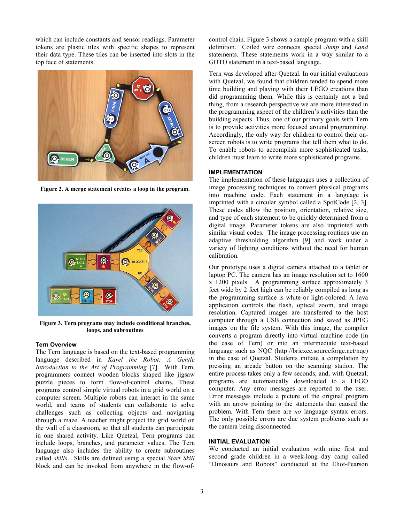which can include constants and sensor readings. Parameter tokens are plastic tiles with specific shapes to represent their data type. These tiles can be inserted into slots in the top face of statements.



Figure 2. A merge statement creates a loop in the program.



Figure 3. Tern programs may include conditional branches, loops, and subroutines

### Tern Overview

The Tern language is based on the text-based programming language described in Karel the Robot: A Gentle Introduction to the Art of Programming [7]. With Tern, programmers connect wooden blocks shaped like jigsaw puzzle pieces to form flow-of-control chains. These programs control simple virtual robots in a grid world on a computer screen. Multiple robots can interact in the same world, and teams of students can collaborate to solve challenges such as collecting objects and navigating through a maze. A teacher might project the grid world on the wall of a classroom, so that all students can participate in one shared activity. Like Quetzal, Tern programs can include loops, branches, and parameter values. The Tern language also includes the ability to create subroutines called skills. Skills are defined using a special Start Skill block and can be invoked from anywhere in the flow-ofcontrol chain. Figure 3 shows a sample program with a skill definition. Coiled wire connects special Jump and Land statements. These statements work in a way similar to a GOTO statement in a text-based language.

Tern was developed after Quetzal. In our initial evaluations with Quetzal, we found that children tended to spend more time building and playing with their LEGO creations than did programming them. While this is certainly not a bad thing, from a research perspective we are more interested in the programming aspect of the children's activities than the building aspects. Thus, one of our primary goals with Tern is to provide activities more focused around programming. Accordingly, the only way for children to control their onscreen robots is to write programs that tell them what to do. To enable robots to accomplish more sophisticated tasks, children must learn to write more sophisticated programs.

#### IMPLEMENTATION

The implementation of these languages uses a collection of image processing techniques to convert physical programs into machine code. Each statement in a language is imprinted with a circular symbol called a SpotCode [2, 3]. These codes allow the position, orientation, relative size, and type of each statement to be quickly determined from a digital image. Parameter tokens are also imprinted with similar visual codes. The image processing routines use an adaptive thresholding algorithm [9] and work under a variety of lighting conditions without the need for human calibration.

Our prototype uses a digital camera attached to a tablet or laptop PC. The camera has an image resolution set to 1600 x 1200 pixels. A programming surface approximately 3 feet wide by 2 feet high can be reliably compiled as long as the programming surface is white or light-colored. A Java application controls the flash, optical zoom, and image resolution. Captured images are transferred to the host computer through a USB connection and saved as JPEG images on the file system. With this image, the compiler converts a program directly into virtual machine code (in the case of Tern) or into an intermediate text-based language such as NQC (http://bricxcc.sourceforge.net/nqc) in the case of Quetzal. Students initiate a compilation by pressing an arcade button on the scanning station. The entire process takes only a few seconds, and, with Quetzal, programs are automatically downloaded to a LEGO computer. Any error messages are reported to the user. Error messages include a picture of the original program with an arrow pointing to the statements that caused the problem. With Tern there are no language syntax errors. The only possible errors are due system problems such as the camera being disconnected.

### INITIAL EVALUATION

We conducted an initial evaluation with nine first and second grade children in a week-long day camp called "Dinosaurs and Robots" conducted at the Eliot-Pearson